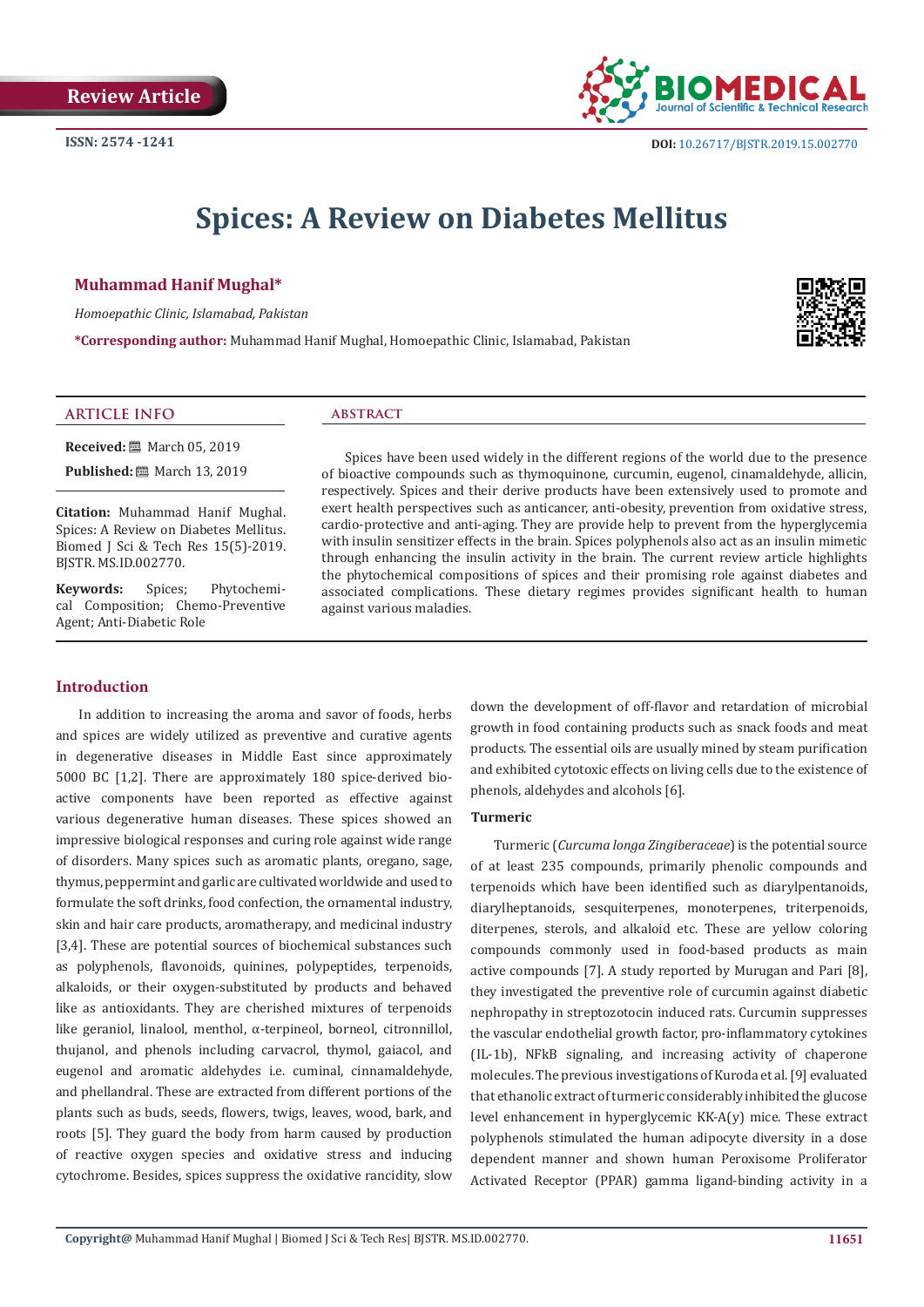

# **Spices: A Review on Diabetes Mellitus**

# **Muhammad Hanif Mughal\***

*Homoepathic Clinic, Islamabad, Pakistan*

**\*Corresponding author:** Muhammad Hanif Mughal, Homoepathic Clinic, Islamabad, Pakistan



#### **ARTICLE INFO abstract**

**Received:** ■ March 05, 2019 **Published:** ■ March 13, 2019

**Citation:** Muhammad Hanif Mughal. Spices: A Review on Diabetes Mellitus. Biomed J Sci & Tech Res 15(5)-2019. BJSTR. MS.ID.002770.

**Keywords:** Spices; Phytochemical Composition; Chemo-Preventive Agent; Anti-Diabetic Role

# **Introduction**

In addition to increasing the aroma and savor of foods, herbs and spices are widely utilized as preventive and curative agents in degenerative diseases in Middle East since approximately 5000 BC [1,2]. There are approximately 180 spice-derived bioactive components have been reported as effective against various degenerative human diseases. These spices showed an impressive biological responses and curing role against wide range of disorders. Many spices such as aromatic plants, oregano, sage, thymus, peppermint and garlic are cultivated worldwide and used to formulate the soft drinks, food confection, the ornamental industry, skin and hair care products, aromatherapy, and medicinal industry [3,4]. These are potential sources of biochemical substances such as polyphenols, flavonoids, quinines, polypeptides, terpenoids, alkaloids, or their oxygen-substituted by products and behaved like as antioxidants. They are cherished mixtures of terpenoids like geraniol, linalool, menthol, α-terpineol, borneol, citronnillol, thujanol, and phenols including carvacrol, thymol, gaiacol, and eugenol and aromatic aldehydes i.e. cuminal, cinnamaldehyde, and phellandral. These are extracted from different portions of the plants such as buds, seeds, flowers, twigs, leaves, wood, bark, and roots [5]. They guard the body from harm caused by production of reactive oxygen species and oxidative stress and inducing cytochrome. Besides, spices suppress the oxidative rancidity, slow

Spices have been used widely in the different regions of the world due to the presence of bioactive compounds such as thymoquinone, curcumin, eugenol, cinamaldehyde, allicin, respectively. Spices and their derive products have been extensively used to promote and exert health perspectives such as anticancer, anti-obesity, prevention from oxidative stress, cardio-protective and anti-aging. They are provide help to prevent from the hyperglycemia with insulin sensitizer effects in the brain. Spices polyphenols also act as an insulin mimetic through enhancing the insulin activity in the brain. The current review article highlights the phytochemical compositions of spices and their promising role against diabetes and associated complications. These dietary regimes provides significant health to human against various maladies.

> down the development of off-flavor and retardation of microbial growth in food containing products such as snack foods and meat products. The essential oils are usually mined by steam purification and exhibited cytotoxic effects on living cells due to the existence of phenols, aldehydes and alcohols [6].

### **Turmeric**

Turmeric (*Curcuma longa Zingiberaceae*) is the potential source of at least 235 compounds, primarily phenolic compounds and terpenoids which have been identified such as diarylpentanoids, diarylheptanoids, sesquiterpenes, monoterpenes, triterpenoids, diterpenes, sterols, and alkaloid etc. These are yellow coloring compounds commonly used in food-based products as main active compounds [7]. A study reported by Murugan and Pari [8], they investigated the preventive role of curcumin against diabetic nephropathy in streptozotocin induced rats. Curcumin suppresses the vascular endothelial growth factor, pro-inflammatory cytokines (IL-1b), NFkB signaling, and increasing activity of chaperone molecules. The previous investigations of Kuroda et al. [9] evaluated that ethanolic extract of turmeric considerably inhibited the glucose level enhancement in hyperglycemic KK-A(y) mice. These extract polyphenols stimulated the human adipocyte diversity in a dose dependent manner and shown human Peroxisome Proliferator Activated Receptor (PPAR) gamma ligand-binding activity in a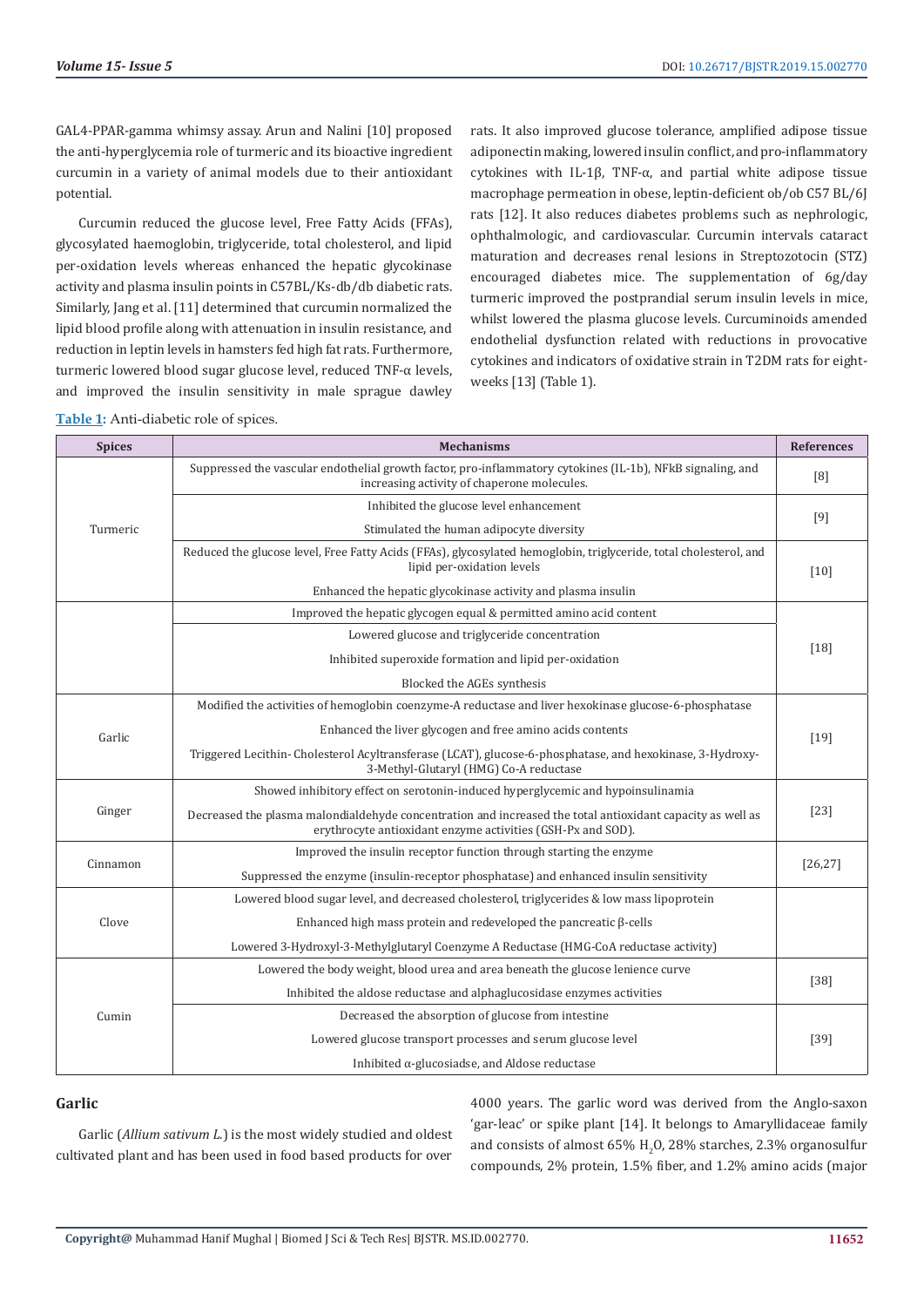GAL4-PPAR-gamma whimsy assay. Arun and Nalini [10] proposed the anti-hyperglycemia role of turmeric and its bioactive ingredient curcumin in a variety of animal models due to their antioxidant potential.

Curcumin reduced the glucose level, Free Fatty Acids (FFAs), glycosylated haemoglobin, triglyceride, total cholesterol, and lipid per-oxidation levels whereas enhanced the hepatic glycokinase activity and plasma insulin points in C57BL/Ks-db/db diabetic rats. Similarly, Jang et al. [11] determined that curcumin normalized the lipid blood profile along with attenuation in insulin resistance, and reduction in leptin levels in hamsters fed high fat rats. Furthermore, turmeric lowered blood sugar glucose level, reduced TNF-α levels, and improved the insulin sensitivity in male sprague dawley

rats. It also improved glucose tolerance, amplified adipose tissue adiponectin making, lowered insulin conflict, and pro-inflammatory cytokines with IL-1β, TNF-α, and partial white adipose tissue macrophage permeation in obese, leptin-deficient ob/ob C57 BL/6J rats [12]. It also reduces diabetes problems such as nephrologic, ophthalmologic, and cardiovascular. Curcumin intervals cataract maturation and decreases renal lesions in Streptozotocin (STZ) encouraged diabetes mice. The supplementation of 6g/day turmeric improved the postprandial serum insulin levels in mice, whilst lowered the plasma glucose levels. Curcuminoids amended endothelial dysfunction related with reductions in provocative cytokines and indicators of oxidative strain in T2DM rats for eightweeks [13] (Table 1).

**Table 1:** Anti-diabetic role of spices.

| <b>Spices</b> | <b>Mechanisms</b>                                                                                                                                                         | <b>References</b> |
|---------------|---------------------------------------------------------------------------------------------------------------------------------------------------------------------------|-------------------|
| Turmeric      | Suppressed the vascular endothelial growth factor, pro-inflammatory cytokines (IL-1b), NFkB signaling, and<br>increasing activity of chaperone molecules.                 | [8]               |
|               | Inhibited the glucose level enhancement                                                                                                                                   | [9]               |
|               | Stimulated the human adipocyte diversity                                                                                                                                  |                   |
|               | Reduced the glucose level, Free Fatty Acids (FFAs), glycosylated hemoglobin, triglyceride, total cholesterol, and<br>lipid per-oxidation levels                           | [10]              |
|               | Enhanced the hepatic glycokinase activity and plasma insulin                                                                                                              |                   |
|               | Improved the hepatic glycogen equal & permitted amino acid content                                                                                                        | $[18]$            |
|               | Lowered glucose and triglyceride concentration                                                                                                                            |                   |
|               | Inhibited superoxide formation and lipid per-oxidation                                                                                                                    |                   |
|               | Blocked the AGEs synthesis                                                                                                                                                |                   |
| Garlic        | Modified the activities of hemoglobin coenzyme-A reductase and liver hexokinase glucose-6-phosphatase                                                                     | $[19]$            |
|               | Enhanced the liver glycogen and free amino acids contents                                                                                                                 |                   |
|               | Triggered Lecithin- Cholesterol Acyltransferase (LCAT), glucose-6-phosphatase, and hexokinase, 3-Hydroxy-<br>3-Methyl-Glutaryl (HMG) Co-A reductase                       |                   |
| Ginger        | Showed inhibitory effect on serotonin-induced hyperglycemic and hypoinsulinamia                                                                                           | $[23]$            |
|               | Decreased the plasma malondialdehyde concentration and increased the total antioxidant capacity as well as<br>erythrocyte antioxidant enzyme activities (GSH-Px and SOD). |                   |
| Cinnamon      | Improved the insulin receptor function through starting the enzyme                                                                                                        | [26, 27]          |
|               | Suppressed the enzyme (insulin-receptor phosphatase) and enhanced insulin sensitivity                                                                                     |                   |
| Clove         | Lowered blood sugar level, and decreased cholesterol, triglycerides & low mass lipoprotein                                                                                |                   |
|               | Enhanced high mass protein and redeveloped the pancreatic $\beta$ -cells                                                                                                  |                   |
|               | Lowered 3-Hydroxyl-3-Methylglutaryl Coenzyme A Reductase (HMG-CoA reductase activity)                                                                                     |                   |
| Cumin         | Lowered the body weight, blood urea and area beneath the glucose lenience curve                                                                                           | $[38]$            |
|               | Inhibited the aldose reductase and alphaglucosidase enzymes activities                                                                                                    |                   |
|               | Decreased the absorption of glucose from intestine                                                                                                                        | $[39]$            |
|               | Lowered glucose transport processes and serum glucose level                                                                                                               |                   |
|               | Inhibited $\alpha$ -glucosiadse, and Aldose reductase                                                                                                                     |                   |

# **Garlic**

Garlic (*Allium sativum L.*) is the most widely studied and oldest cultivated plant and has been used in food based products for over 4000 years. The garlic word was derived from the Anglo-saxon 'gar-leac' or spike plant [14]. It belongs to Amaryllidaceae family and consists of almost 65%  $H_2O$ , 28% starches, 2.3% organosulfur compounds, 2% protein, 1.5% fiber, and 1.2% amino acids (major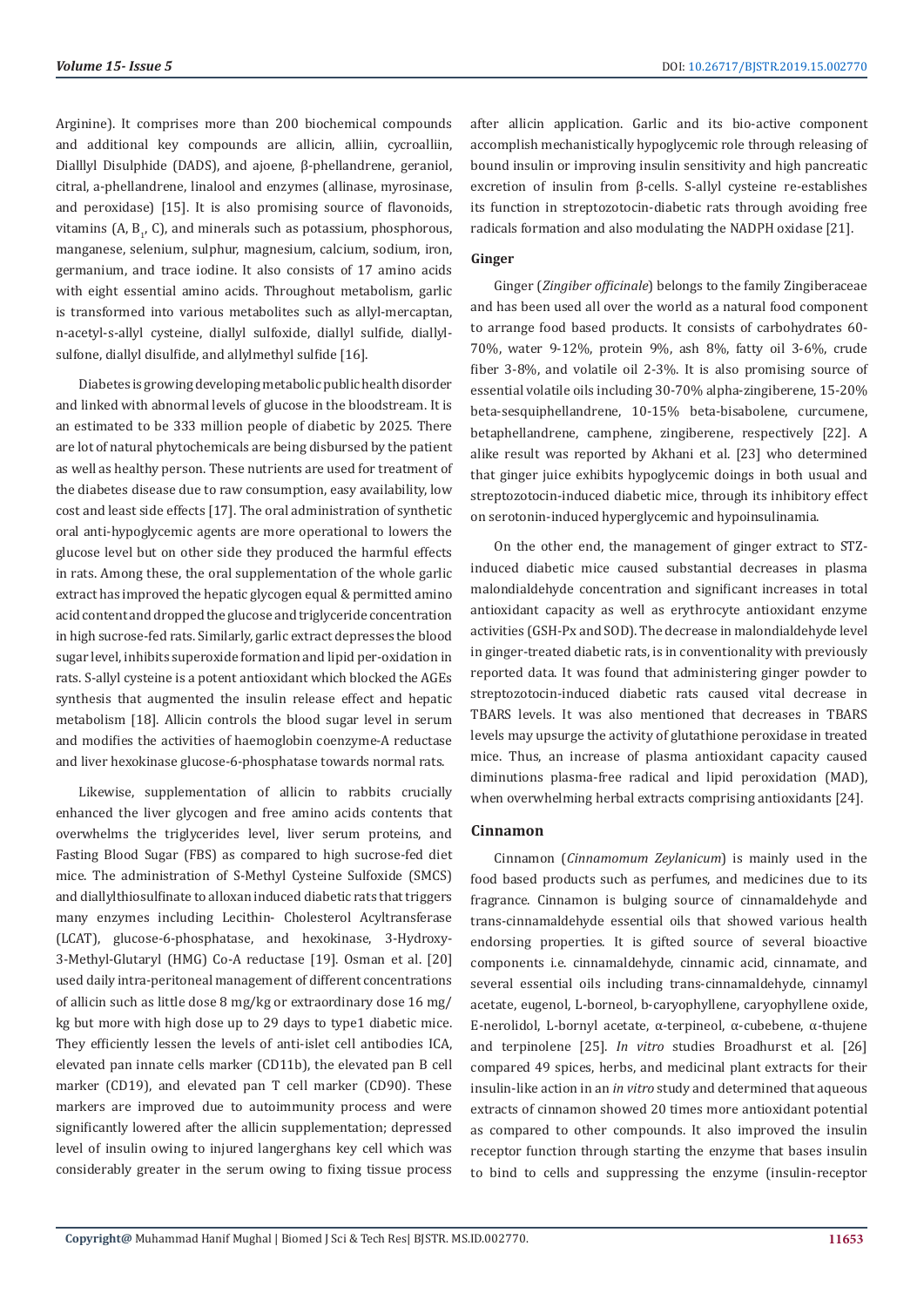Arginine). It comprises more than 200 biochemical compounds and additional key compounds are allicin, alliin, cycroalliin, Dialllyl Disulphide (DADS), and ajoene, β-phellandrene, geraniol, citral, a-phellandrene, linalool and enzymes (allinase, myrosinase, and peroxidase) [15]. It is also promising source of flavonoids, vitamins (A,  $B_1$ , C), and minerals such as potassium, phosphorous, manganese, selenium, sulphur, magnesium, calcium, sodium, iron, germanium, and trace iodine. It also consists of 17 amino acids with eight essential amino acids. Throughout metabolism, garlic is transformed into various metabolites such as allyl-mercaptan, n-acetyl-s-allyl cysteine, diallyl sulfoxide, diallyl sulfide, diallylsulfone, diallyl disulfide, and allylmethyl sulfide [16].

Diabetes is growing developing metabolic public health disorder and linked with abnormal levels of glucose in the bloodstream. It is an estimated to be 333 million people of diabetic by 2025. There are lot of natural phytochemicals are being disbursed by the patient as well as healthy person. These nutrients are used for treatment of the diabetes disease due to raw consumption, easy availability, low cost and least side effects [17]. The oral administration of synthetic oral anti-hypoglycemic agents are more operational to lowers the glucose level but on other side they produced the harmful effects in rats. Among these, the oral supplementation of the whole garlic extract has improved the hepatic glycogen equal & permitted amino acid content and dropped the glucose and triglyceride concentration in high sucrose-fed rats. Similarly, garlic extract depresses the blood sugar level, inhibits superoxide formation and lipid per-oxidation in rats. S-allyl cysteine is a potent antioxidant which blocked the AGEs synthesis that augmented the insulin release effect and hepatic metabolism [18]. Allicin controls the blood sugar level in serum and modifies the activities of haemoglobin coenzyme-A reductase and liver hexokinase glucose-6-phosphatase towards normal rats.

Likewise, supplementation of allicin to rabbits crucially enhanced the liver glycogen and free amino acids contents that overwhelms the triglycerides level, liver serum proteins, and Fasting Blood Sugar (FBS) as compared to high sucrose-fed diet mice. The administration of S-Methyl Cysteine Sulfoxide (SMCS) and diallylthiosulfinate to alloxan induced diabetic rats that triggers many enzymes including Lecithin- Cholesterol Acyltransferase (LCAT), glucose-6-phosphatase, and hexokinase, 3-Hydroxy-3-Methyl-Glutaryl (HMG) Co-A reductase [19]. Osman et al. [20] used daily intra-peritoneal management of different concentrations of allicin such as little dose 8 mg/kg or extraordinary dose 16 mg/ kg but more with high dose up to 29 days to type1 diabetic mice. They efficiently lessen the levels of anti-islet cell antibodies ICA, elevated pan innate cells marker (CD11b), the elevated pan B cell marker (CD19), and elevated pan T cell marker (CD90). These markers are improved due to autoimmunity process and were significantly lowered after the allicin supplementation; depressed level of insulin owing to injured langerghans key cell which was considerably greater in the serum owing to fixing tissue process

after allicin application. Garlic and its bio-active component accomplish mechanistically hypoglycemic role through releasing of bound insulin or improving insulin sensitivity and high pancreatic excretion of insulin from β-cells. S-allyl cysteine re-establishes its function in streptozotocin-diabetic rats through avoiding free radicals formation and also modulating the NADPH oxidase [21].

# **Ginger**

Ginger (*Zingiber officinale*) belongs to the family Zingiberaceae and has been used all over the world as a natural food component to arrange food based products. It consists of carbohydrates 60- 70%, water 9-12%, protein 9%, ash 8%, fatty oil 3-6%, crude fiber 3-8%, and volatile oil 2-3%. It is also promising source of essential volatile oils including 30-70% alpha-zingiberene, 15-20% beta-sesquiphellandrene, 10-15% beta-bisabolene, curcumene, betaphellandrene, camphene, zingiberene, respectively [22]. A alike result was reported by Akhani et al. [23] who determined that ginger juice exhibits hypoglycemic doings in both usual and streptozotocin-induced diabetic mice, through its inhibitory effect on serotonin-induced hyperglycemic and hypoinsulinamia.

On the other end, the management of ginger extract to STZinduced diabetic mice caused substantial decreases in plasma malondialdehyde concentration and significant increases in total antioxidant capacity as well as erythrocyte antioxidant enzyme activities (GSH-Px and SOD). The decrease in malondialdehyde level in ginger-treated diabetic rats, is in conventionality with previously reported data. It was found that administering ginger powder to streptozotocin-induced diabetic rats caused vital decrease in TBARS levels. It was also mentioned that decreases in TBARS levels may upsurge the activity of glutathione peroxidase in treated mice. Thus, an increase of plasma antioxidant capacity caused diminutions plasma-free radical and lipid peroxidation (MAD), when overwhelming herbal extracts comprising antioxidants [24].

### **Cinnamon**

Cinnamon (*Cinnamomum Zeylanicum*) is mainly used in the food based products such as perfumes, and medicines due to its fragrance. Cinnamon is bulging source of cinnamaldehyde and trans-cinnamaldehyde essential oils that showed various health endorsing properties. It is gifted source of several bioactive components i.e. cinnamaldehyde, cinnamic acid, cinnamate, and several essential oils including trans-cinnamaldehyde, cinnamyl acetate, eugenol, L-borneol, b-caryophyllene, caryophyllene oxide, E-nerolidol, L-bornyl acetate, α-terpineol, α-cubebene, α-thujene and terpinolene [25]. *In vitro* studies Broadhurst et al. [26] compared 49 spices, herbs, and medicinal plant extracts for their insulin-like action in an *in vitro* study and determined that aqueous extracts of cinnamon showed 20 times more antioxidant potential as compared to other compounds. It also improved the insulin receptor function through starting the enzyme that bases insulin to bind to cells and suppressing the enzyme (insulin-receptor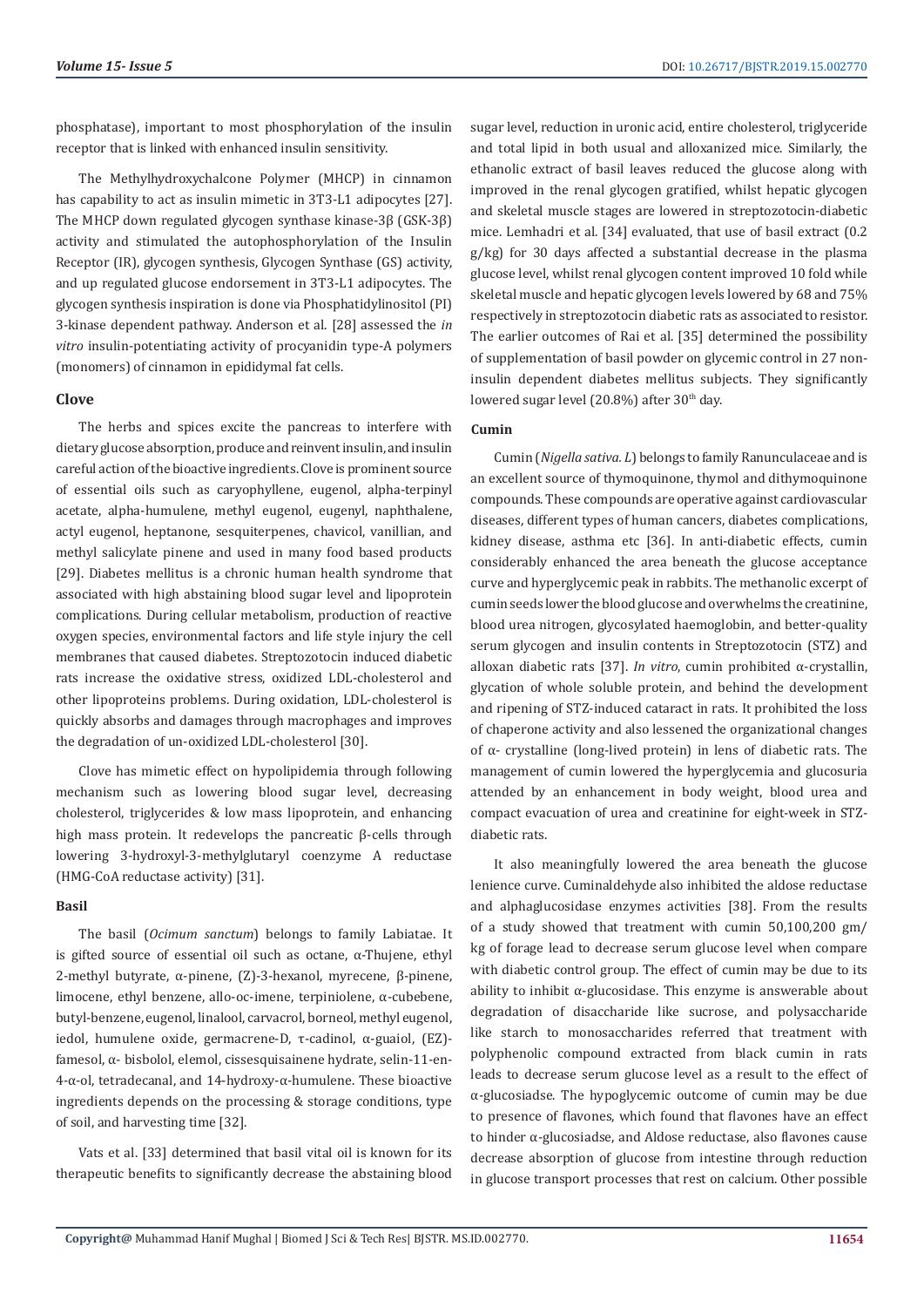phosphatase), important to most phosphorylation of the insulin receptor that is linked with enhanced insulin sensitivity.

The Methylhydroxychalcone Polymer (MHCP) in cinnamon has capability to act as insulin mimetic in 3T3-L1 adipocytes [27]. The MHCP down regulated glycogen synthase kinase-3β (GSK-3β) activity and stimulated the autophosphorylation of the Insulin Receptor (IR), glycogen synthesis, Glycogen Synthase (GS) activity, and up regulated glucose endorsement in 3T3-L1 adipocytes. The glycogen synthesis inspiration is done via Phosphatidylinositol (PI) 3-kinase dependent pathway. Anderson et al. [28] assessed the *in vitro* insulin-potentiating activity of procyanidin type-A polymers (monomers) of cinnamon in epididymal fat cells.

### **Clove**

The herbs and spices excite the pancreas to interfere with dietary glucose absorption, produce and reinvent insulin, and insulin careful action of the bioactive ingredients. Clove is prominent source of essential oils such as caryophyllene, eugenol, alpha-terpinyl acetate, alpha-humulene, methyl eugenol, eugenyl, naphthalene, actyl eugenol, heptanone, sesquiterpenes, chavicol, vanillian, and methyl salicylate pinene and used in many food based products [29]. Diabetes mellitus is a chronic human health syndrome that associated with high abstaining blood sugar level and lipoprotein complications. During cellular metabolism, production of reactive oxygen species, environmental factors and life style injury the cell membranes that caused diabetes. Streptozotocin induced diabetic rats increase the oxidative stress, oxidized LDL-cholesterol and other lipoproteins problems. During oxidation, LDL-cholesterol is quickly absorbs and damages through macrophages and improves the degradation of un-oxidized LDL-cholesterol [30].

Clove has mimetic effect on hypolipidemia through following mechanism such as lowering blood sugar level, decreasing cholesterol, triglycerides & low mass lipoprotein, and enhancing high mass protein. It redevelops the pancreatic β-cells through lowering 3-hydroxyl-3-methylglutaryl coenzyme A reductase (HMG-CoA reductase activity) [31].

#### **Basil**

The basil (*Ocimum sanctum*) belongs to family Labiatae. It is gifted source of essential oil such as octane, α-Thujene, ethyl 2-methyl butyrate, α-pinene, (Z)-3-hexanol, myrecene, β-pinene, limocene, ethyl benzene, allo-oc-imene, terpiniolene, α-cubebene, butyl-benzene, eugenol, linalool, carvacrol, borneol, methyl eugenol, iedol, humulene oxide, germacrene-D, τ-cadinol, α-guaiol, (EZ) famesol, α- bisbolol, elemol, cissesquisainene hydrate, selin-11-en-4-α-ol, tetradecanal, and 14-hydroxy-α-humulene. These bioactive ingredients depends on the processing & storage conditions, type of soil, and harvesting time [32].

Vats et al. [33] determined that basil vital oil is known for its therapeutic benefits to significantly decrease the abstaining blood

sugar level, reduction in uronic acid, entire cholesterol, triglyceride and total lipid in both usual and alloxanized mice. Similarly, the ethanolic extract of basil leaves reduced the glucose along with improved in the renal glycogen gratified, whilst hepatic glycogen and skeletal muscle stages are lowered in streptozotocin-diabetic mice. Lemhadri et al. [34] evaluated, that use of basil extract (0.2 g/kg) for 30 days affected a substantial decrease in the plasma glucose level, whilst renal glycogen content improved 10 fold while skeletal muscle and hepatic glycogen levels lowered by 68 and 75% respectively in streptozotocin diabetic rats as associated to resistor. The earlier outcomes of Rai et al. [35] determined the possibility of supplementation of basil powder on glycemic control in 27 noninsulin dependent diabetes mellitus subjects. They significantly lowered sugar level (20.8%) after 30<sup>th</sup> day.

## **Cumin**

Cumin (*Nigella sativa. L*) belongs to family Ranunculaceae and is an excellent source of thymoquinone, thymol and dithymoquinone compounds. These compounds are operative against cardiovascular diseases, different types of human cancers, diabetes complications, kidney disease, asthma etc [36]. In anti-diabetic effects, cumin considerably enhanced the area beneath the glucose acceptance curve and hyperglycemic peak in rabbits. The methanolic excerpt of cumin seeds lower the blood glucose and overwhelms the creatinine, blood urea nitrogen, glycosylated haemoglobin, and better-quality serum glycogen and insulin contents in Streptozotocin (STZ) and alloxan diabetic rats [37]. *In vitro*, cumin prohibited α-crystallin, glycation of whole soluble protein, and behind the development and ripening of STZ-induced cataract in rats. It prohibited the loss of chaperone activity and also lessened the organizational changes of α- crystalline (long-lived protein) in lens of diabetic rats. The management of cumin lowered the hyperglycemia and glucosuria attended by an enhancement in body weight, blood urea and compact evacuation of urea and creatinine for eight-week in STZdiabetic rats.

It also meaningfully lowered the area beneath the glucose lenience curve. Cuminaldehyde also inhibited the aldose reductase and alphaglucosidase enzymes activities [38]. From the results of a study showed that treatment with cumin 50,100,200 gm/ kg of forage lead to decrease serum glucose level when compare with diabetic control group. The effect of cumin may be due to its ability to inhibit α-glucosidase. This enzyme is answerable about degradation of disaccharide like sucrose, and polysaccharide like starch to monosaccharides referred that treatment with polyphenolic compound extracted from black cumin in rats leads to decrease serum glucose level as a result to the effect of α-glucosiadse. The hypoglycemic outcome of cumin may be due to presence of flavones, which found that flavones have an effect to hinder α-glucosiadse, and Aldose reductase, also flavones cause decrease absorption of glucose from intestine through reduction in glucose transport processes that rest on calcium. Other possible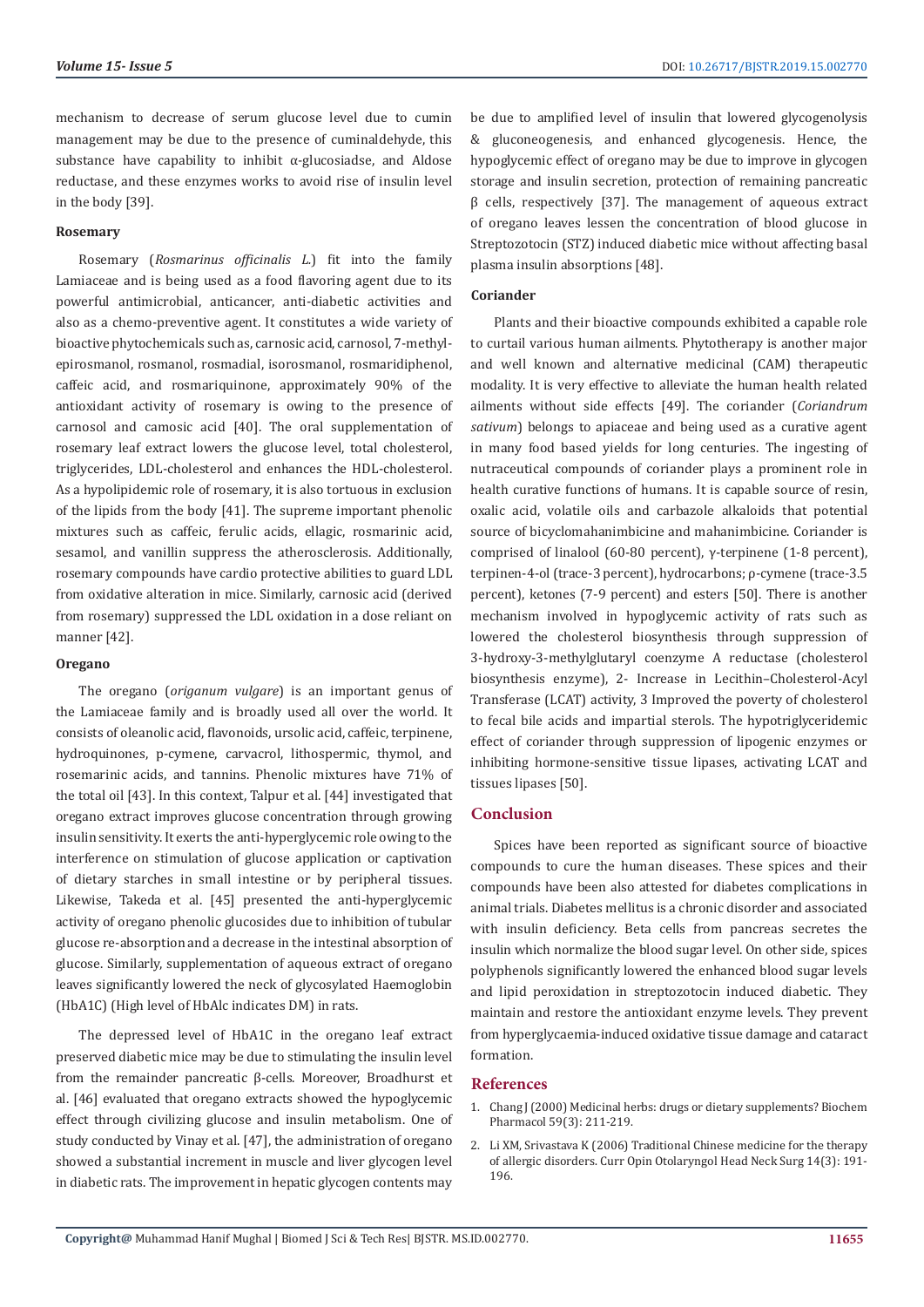mechanism to decrease of serum glucose level due to cumin management may be due to the presence of cuminaldehyde, this substance have capability to inhibit  $\alpha$ -glucosiadse, and Aldose reductase, and these enzymes works to avoid rise of insulin level in the body [39].

#### **Rosemary**

Rosemary (*Rosmarinus officinalis L.*) fit into the family Lamiaceae and is being used as a food flavoring agent due to its powerful antimicrobial, anticancer, anti-diabetic activities and also as a chemo-preventive agent. It constitutes a wide variety of bioactive phytochemicals such as, carnosic acid, carnosol, 7-methylepirosmanol, rosmanol, rosmadial, isorosmanol, rosmaridiphenol, caffeic acid, and rosmariquinone, approximately 90% of the antioxidant activity of rosemary is owing to the presence of carnosol and camosic acid [40]. The oral supplementation of rosemary leaf extract lowers the glucose level, total cholesterol, triglycerides, LDL-cholesterol and enhances the HDL-cholesterol. As a hypolipidemic role of rosemary, it is also tortuous in exclusion of the lipids from the body [41]. The supreme important phenolic mixtures such as caffeic, ferulic acids, ellagic, rosmarinic acid, sesamol, and vanillin suppress the atherosclerosis. Additionally, rosemary compounds have cardio protective abilities to guard LDL from oxidative alteration in mice. Similarly, carnosic acid (derived from rosemary) suppressed the LDL oxidation in a dose reliant on manner [42].

#### **Oregano**

The oregano (*origanum vulgare*) is an important genus of the Lamiaceae family and is broadly used all over the world. It consists of oleanolic acid, flavonoids, ursolic acid, caffeic, terpinene, hydroquinones, p-cymene, carvacrol, lithospermic, thymol, and rosemarinic acids, and tannins. Phenolic mixtures have 71% of the total oil [43]. In this context, Talpur et al. [44] investigated that oregano extract improves glucose concentration through growing insulin sensitivity. It exerts the anti-hyperglycemic role owing to the interference on stimulation of glucose application or captivation of dietary starches in small intestine or by peripheral tissues. Likewise, Takeda et al. [45] presented the anti-hyperglycemic activity of oregano phenolic glucosides due to inhibition of tubular glucose re-absorption and a decrease in the intestinal absorption of glucose. Similarly, supplementation of aqueous extract of oregano leaves significantly lowered the neck of glycosylated Haemoglobin (HbA1C) (High level of HbAlc indicates DM) in rats.

The depressed level of HbA1C in the oregano leaf extract preserved diabetic mice may be due to stimulating the insulin level from the remainder pancreatic β-cells. Moreover, Broadhurst et al. [46] evaluated that oregano extracts showed the hypoglycemic effect through civilizing glucose and insulin metabolism. One of study conducted by Vinay et al. [47], the administration of oregano showed a substantial increment in muscle and liver glycogen level in diabetic rats. The improvement in hepatic glycogen contents may

be due to amplified level of insulin that lowered glycogenolysis & gluconeogenesis, and enhanced glycogenesis. Hence, the hypoglycemic effect of oregano may be due to improve in glycogen storage and insulin secretion, protection of remaining pancreatic β cells, respectively [37]. The management of aqueous extract of oregano leaves lessen the concentration of blood glucose in Streptozotocin (STZ) induced diabetic mice without affecting basal plasma insulin absorptions [48].

### **Coriander**

Plants and their bioactive compounds exhibited a capable role to curtail various human ailments. Phytotherapy is another major and well known and alternative medicinal (CAM) therapeutic modality. It is very effective to alleviate the human health related ailments without side effects [49]. The coriander (*Coriandrum sativum*) belongs to apiaceae and being used as a curative agent in many food based yields for long centuries. The ingesting of nutraceutical compounds of coriander plays a prominent role in health curative functions of humans. It is capable source of resin, oxalic acid, volatile oils and carbazole alkaloids that potential source of bicyclomahanimbicine and mahanimbicine. Coriander is comprised of linalool (60-80 percent), γ-terpinene (1-8 percent), terpinen-4-ol (trace-3 percent), hydrocarbons; ρ-cymene (trace-3.5 percent), ketones (7-9 percent) and esters [50]. There is another mechanism involved in hypoglycemic activity of rats such as lowered the cholesterol biosynthesis through suppression of 3-hydroxy-3-methylglutaryl coenzyme A reductase (cholesterol biosynthesis enzyme), 2- Increase in Lecithin–Cholesterol-Acyl Transferase (LCAT) activity, 3 Improved the poverty of cholesterol to fecal bile acids and impartial sterols. The hypotriglyceridemic effect of coriander through suppression of lipogenic enzymes or inhibiting hormone-sensitive tissue lipases, activating LCAT and tissues lipases [50].

### **Conclusion**

Spices have been reported as significant source of bioactive compounds to cure the human diseases. These spices and their compounds have been also attested for diabetes complications in animal trials. Diabetes mellitus is a chronic disorder and associated with insulin deficiency. Beta cells from pancreas secretes the insulin which normalize the blood sugar level. On other side, spices polyphenols significantly lowered the enhanced blood sugar levels and lipid peroxidation in streptozotocin induced diabetic. They maintain and restore the antioxidant enzyme levels. They prevent from hyperglycaemia-induced oxidative tissue damage and cataract formation.

### **References**

- 1. Chang J (2000) Medicinal herbs: drugs or dietary supplements? Biochem Pharmacol 59(3): 211-219.
- 2. Li XM, Srivastava K (2006) Traditional Chinese medicine for the therapy of allergic disorders. Curr Opin Otolaryngol Head Neck Surg 14(3): 191- 196.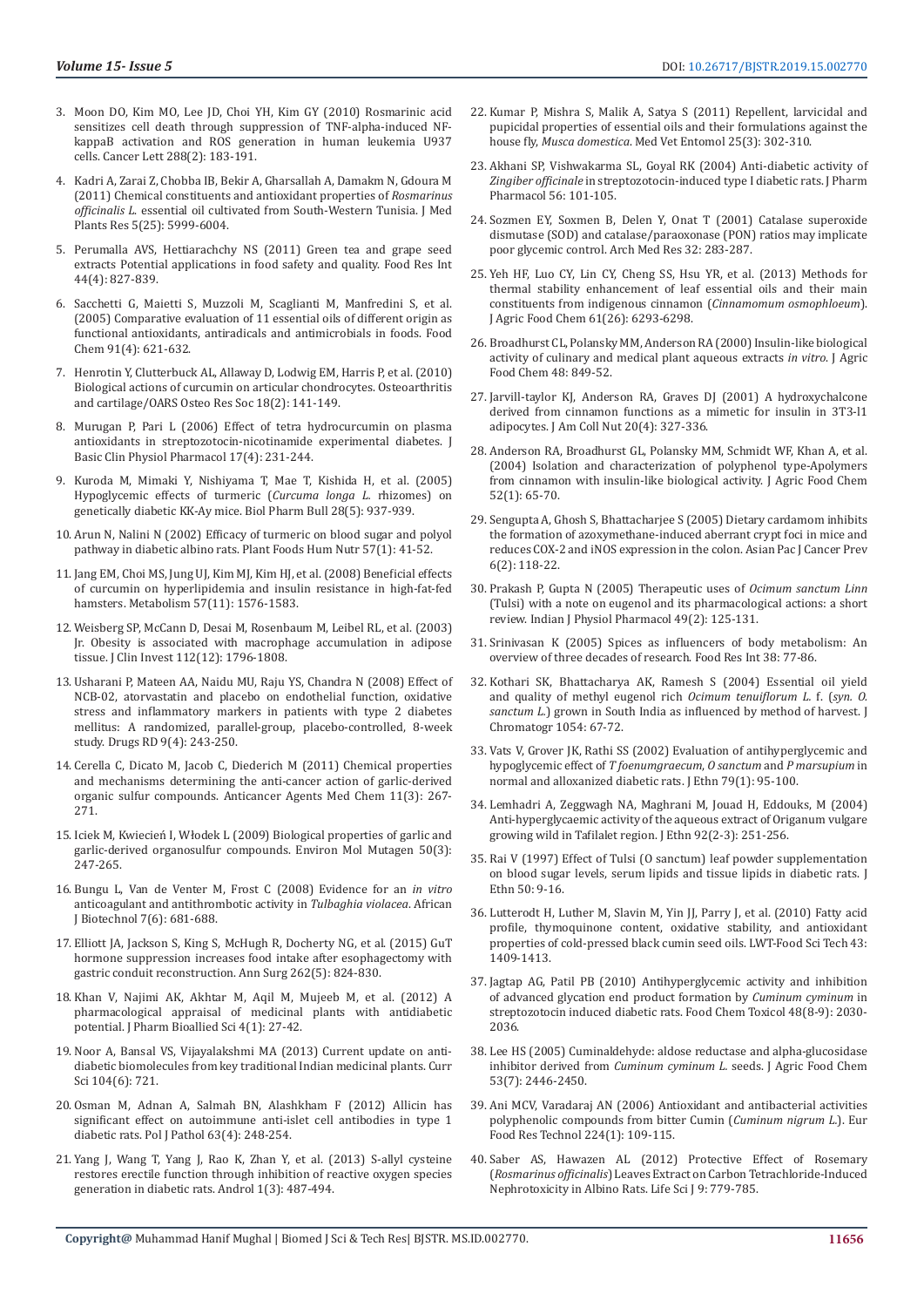- 3. Moon DO, Kim MO, Lee JD, Choi YH, Kim GY (2010) Rosmarinic acid sensitizes cell death through suppression of TNF-alpha-induced NFkappaB activation and ROS generation in human leukemia U937 cells. Cancer Lett 288(2): 183-191.
- 4. Kadri A, Zarai Z, Chobba IB, Bekir A, Gharsallah A, Damakm N, Gdoura M (2011) Chemical constituents and antioxidant properties of *Rosmarinus officinalis L*. essential oil cultivated from South-Western Tunisia. J Med Plants Res 5(25): 5999-6004.
- 5. Perumalla AVS, Hettiarachchy NS (2011) Green tea and grape seed extracts Potential applications in food safety and quality. Food Res Int 44(4): 827-839.
- 6. Sacchetti G, Maietti S, Muzzoli M, Scaglianti M, Manfredini S, et al. (2005) Comparative evaluation of 11 essential oils of different origin as functional antioxidants, antiradicals and antimicrobials in foods. Food Chem 91(4): 621-632.
- 7. Henrotin Y, Clutterbuck AL, Allaway D, Lodwig EM, Harris P, et al. (2010) Biological actions of curcumin on articular chondrocytes. Osteoarthritis and cartilage/OARS Osteo Res Soc 18(2): 141-149.
- 8. Murugan P, Pari L (2006) Effect of tetra hydrocurcumin on plasma antioxidants in streptozotocin-nicotinamide experimental diabetes. J Basic Clin Physiol Pharmacol 17(4): 231-244.
- 9. Kuroda M, Mimaki Y, Nishiyama T, Mae T, Kishida H, et al. (2005) Hypoglycemic effects of turmeric (*Curcuma longa L.* rhizomes) on genetically diabetic KK-Ay mice. Biol Pharm Bull 28(5): 937-939.
- 10. Arun N, Nalini N (2002) Efficacy of turmeric on blood sugar and polyol pathway in diabetic albino rats. Plant Foods Hum Nutr 57(1): 41-52.
- 11. Jang EM, Choi MS, Jung UJ, Kim MJ, Kim HJ, et al. (2008) Beneficial effects of curcumin on hyperlipidemia and insulin resistance in high-fat-fed hamsters. Metabolism 57(11): 1576-1583.
- 12. Weisberg SP, McCann D, Desai M, Rosenbaum M, Leibel RL, et al. (2003) Jr. Obesity is associated with macrophage accumulation in adipose tissue. J Clin Invest 112(12): 1796-1808.
- 13. Usharani P, Mateen AA, Naidu MU, Raju YS, Chandra N (2008) Effect of NCB-02, atorvastatin and placebo on endothelial function, oxidative stress and inflammatory markers in patients with type 2 diabetes mellitus: A randomized, parallel-group, placebo-controlled, 8-week study. Drugs RD 9(4): 243-250.
- 14. Cerella C, Dicato M, Jacob C, Diederich M (2011) Chemical properties and mechanisms determining the anti-cancer action of garlic-derived organic sulfur compounds. Anticancer Agents Med Chem 11(3): 267- 271.
- 15. Iciek M, Kwiecień I, Włodek L (2009) Biological properties of garlic and garlic-derived organosulfur compounds. Environ Mol Mutagen 50(3): 247-265.
- 16. Bungu L, Van de Venter M, Frost C (2008) Evidence for an *in vitro* anticoagulant and antithrombotic activity in *Tulbaghia violacea*. African J Biotechnol 7(6): 681-688.
- 17. Elliott JA, Jackson S, King S, McHugh R, Docherty NG, et al. (2015) GuT hormone suppression increases food intake after esophagectomy with gastric conduit reconstruction. Ann Surg 262(5): 824-830.
- 18. Khan V, Najimi AK, Akhtar M, Aqil M, Mujeeb M, et al. (2012) A pharmacological appraisal of medicinal plants with antidiabetic potential. J Pharm Bioallied Sci 4(1): 27-42.
- 19. Noor A, Bansal VS, Vijayalakshmi MA (2013) Current update on antidiabetic biomolecules from key traditional Indian medicinal plants. Curr Sci 104(6): 721.
- 20. Osman M, Adnan A, Salmah BN, Alashkham F (2012) Allicin has significant effect on autoimmune anti-islet cell antibodies in type 1 diabetic rats. Pol J Pathol 63(4): 248-254.
- 21. Yang J, Wang T, Yang J, Rao K, Zhan Y, et al. (2013) S-allyl cysteine restores erectile function through inhibition of reactive oxygen species generation in diabetic rats. Androl 1(3): 487-494.
- 22. Kumar P, Mishra S, Malik A, Satya S (2011) Repellent, larvicidal and pupicidal properties of essential oils and their formulations against the house fly, *Musca domestica*. Med Vet Entomol 25(3): 302-310.
- 23. Akhani SP, Vishwakarma SL, Goyal RK (2004) Anti-diabetic activity of *Zingiber officinale* in streptozotocin-induced type I diabetic rats. J Pharm Pharmacol 56: 101-105.
- 24. Sozmen EY, Soxmen B, Delen Y, Onat T (2001) Catalase superoxide dismutase (SOD) and catalase/paraoxonase (PON) ratios may implicate poor glycemic control. Arch Med Res 32: 283-287.
- 25. Yeh HF, Luo CY, Lin CY, Cheng SS, Hsu YR, et al. (2013) Methods for thermal stability enhancement of leaf essential oils and their main constituents from indigenous cinnamon (*Cinnamomum osmophloeum*). J Agric Food Chem 61(26): 6293-6298.
- 26. Broadhurst CL, Polansky MM, Anderson RA (2000) Insulin-like biological activity of culinary and medical plant aqueous extracts *in vitro*. J Agric Food Chem 48: 849-52.
- 27. Jarvill-taylor KJ, Anderson RA, Graves DJ (2001) A hydroxychalcone derived from cinnamon functions as a mimetic for insulin in 3T3-l1 adipocytes. J Am Coll Nut 20(4): 327-336.
- 28. Anderson RA, Broadhurst GL, Polansky MM, Schmidt WF, Khan A, et al. (2004) Isolation and characterization of polyphenol type-Apolymers from cinnamon with insulin-like biological activity. J Agric Food Chem 52(1): 65-70.
- 29. Sengupta A, Ghosh S, Bhattacharjee S (2005) Dietary cardamom inhibits the formation of azoxymethane-induced aberrant crypt foci in mice and reduces COX-2 and iNOS expression in the colon. Asian Pac J Cancer Prev 6(2): 118-22.
- 30. Prakash P, Gupta N (2005) Therapeutic uses of *Ocimum sanctum Linn* (Tulsi) with a note on eugenol and its pharmacological actions: a short review. Indian J Physiol Pharmacol 49(2): 125-131.
- 31. Srinivasan K (2005) Spices as influencers of body metabolism: An overview of three decades of research. Food Res Int 38: 77-86.
- 32. Kothari SK, Bhattacharya AK, Ramesh S (2004) Essential oil yield and quality of methyl eugenol rich *Ocimum tenuiflorum L.* f. (*syn. O. sanctum L.*) grown in South India as influenced by method of harvest. J Chromatogr 1054: 67-72.
- 33. Vats V, Grover JK, Rathi SS (2002) Evaluation of antihyperglycemic and hypoglycemic effect of *T foenumgraecum*, *O sanctum* and *P marsupium* in normal and alloxanized diabetic rats. J Ethn 79(1): 95-100.
- 34. Lemhadri A, Zeggwagh NA, Maghrani M, Jouad H, Eddouks, M (2004) Anti-hyperglycaemic activity of the aqueous extract of Origanum vulgare growing wild in Tafilalet region. J Ethn 92(2-3): 251-256.
- 35. Rai V (1997) Effect of Tulsi (O sanctum) leaf powder supplementation on blood sugar levels, serum lipids and tissue lipids in diabetic rats. J Ethn 50: 9-16.
- 36. Lutterodt H, Luther M, Slavin M, Yin JJ, Parry J, et al. (2010) Fatty acid profile, thymoquinone content, oxidative stability, and antioxidant properties of cold-pressed black cumin seed oils. LWT-Food Sci Tech 43: 1409-1413.
- 37. Jagtap AG, Patil PB (2010) Antihyperglycemic activity and inhibition of advanced glycation end product formation by *Cuminum cyminum* in streptozotocin induced diabetic rats. Food Chem Toxicol 48(8-9): 2030- 2036.
- 38. Lee HS (2005) Cuminaldehyde: aldose reductase and alpha-glucosidase inhibitor derived from *Cuminum cyminum L.* seeds. J Agric Food Chem 53(7): 2446-2450.
- 39. Ani MCV, Varadaraj AN (2006) Antioxidant and antibacterial activities polyphenolic compounds from bitter Cumin (*Cuminum nigrum L.*). Eur Food Res Technol 224(1): 109-115.
- 40. Saber AS, Hawazen AL (2012) Protective Effect of Rosemary (*Rosmarinus officinalis*) Leaves Extract on Carbon Tetrachloride-Induced Nephrotoxicity in Albino Rats. Life Sci J 9: 779-785.